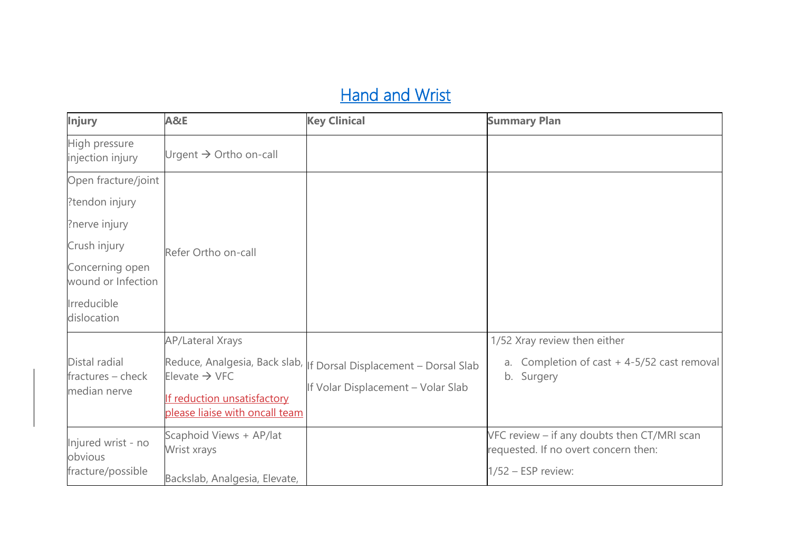# **Hand and Wrist**

| <b>Injury</b>                                                                       | A&E                                                                                                                   | <b>Key Clinical</b>                                                                                       | <b>Summary Plan</b>                                                                                         |
|-------------------------------------------------------------------------------------|-----------------------------------------------------------------------------------------------------------------------|-----------------------------------------------------------------------------------------------------------|-------------------------------------------------------------------------------------------------------------|
| High pressure<br>injection injury                                                   | Urgent $\rightarrow$ Ortho on-call                                                                                    |                                                                                                           |                                                                                                             |
| Open fracture/joint<br>?tendon injury<br>?nerve injury                              |                                                                                                                       |                                                                                                           |                                                                                                             |
| Crush injury<br>Concerning open<br>wound or Infection<br>Irreducible<br>dislocation | Refer Ortho on-call                                                                                                   |                                                                                                           |                                                                                                             |
| Distal radial<br>fractures - check<br>median nerve                                  | <b>AP/Lateral Xrays</b><br>Elevate $\rightarrow$ VFC<br>If reduction unsatisfactory<br>please liaise with oncall team | Reduce, Analgesia, Back slab,   f Dorsal Displacement - Dorsal Slab<br>If Volar Displacement - Volar Slab | 1/52 Xray review then either<br>a. Completion of cast $+4-5/52$ cast removal<br>b. Surgery                  |
| Injured wrist - no<br>obvious<br>fracture/possible                                  | Scaphoid Views + AP/lat<br>Wrist xrays<br>Backslab, Analgesia, Elevate,                                               |                                                                                                           | VFC review - if any doubts then CT/MRI scan<br>requested. If no overt concern then:<br>$1/52$ – ESP review: |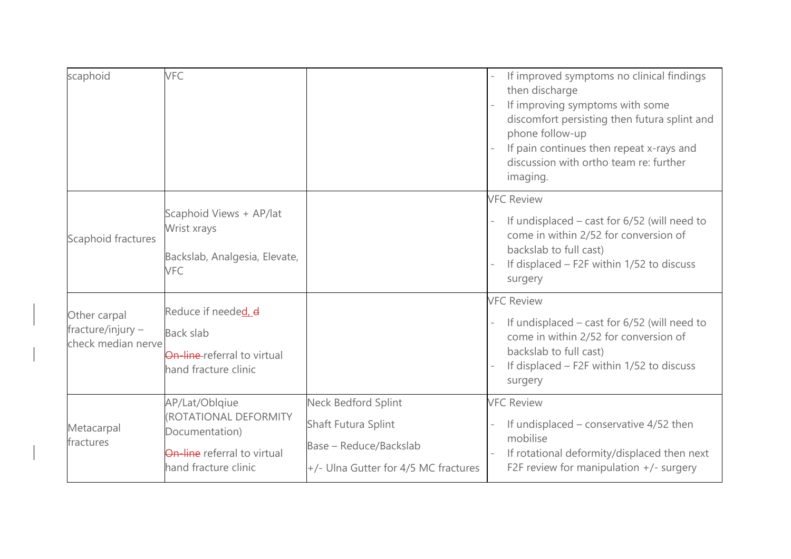| scaphoid                                                | VFC                                                                                                                     |                                                                                                                     | If improved symptoms no clinical findings<br>then discharge<br>If improving symptoms with some<br>discomfort persisting then futura splint and<br>phone follow-up<br>If pain continues then repeat x-rays and<br>discussion with ortho team re: further<br>imaging. |
|---------------------------------------------------------|-------------------------------------------------------------------------------------------------------------------------|---------------------------------------------------------------------------------------------------------------------|---------------------------------------------------------------------------------------------------------------------------------------------------------------------------------------------------------------------------------------------------------------------|
| Scaphoid fractures                                      | Scaphoid Views + AP/lat<br>Wrist xrays<br>Backslab, Analgesia, Elevate,<br><b>VFC</b>                                   |                                                                                                                     | <b>VFC Review</b><br>If undisplaced $-$ cast for 6/52 (will need to<br>come in within 2/52 for conversion of<br>backslab to full cast)<br>If displaced - F2F within 1/52 to discuss<br>surgery                                                                      |
| Other carpal<br>fracture/injury -<br>check median nerve | Reduce if needed, d<br><b>Back slab</b><br><b>On-line-referral to virtual</b><br>hand fracture clinic                   |                                                                                                                     | <b>VFC Review</b><br>If undisplaced $-$ cast for 6/52 (will need to<br>come in within 2/52 for conversion of<br>backslab to full cast)<br>If displaced - F2F within 1/52 to discuss<br>surgery                                                                      |
| Metacarpal<br>fractures                                 | AP/Lat/Oblqiue<br>(ROTATIONAL DEFORMITY<br>Documentation)<br><b>On-line</b> referral to virtual<br>hand fracture clinic | <b>Neck Bedford Splint</b><br>Shaft Futura Splint<br>Base - Reduce/Backslab<br>+/- Ulna Gutter for 4/5 MC fractures | <b>VFC Review</b><br>If undisplaced $-$ conservative 4/52 then<br>mobilise<br>If rotational deformity/displaced then next<br>F2F review for manipulation $+/-$ surgery                                                                                              |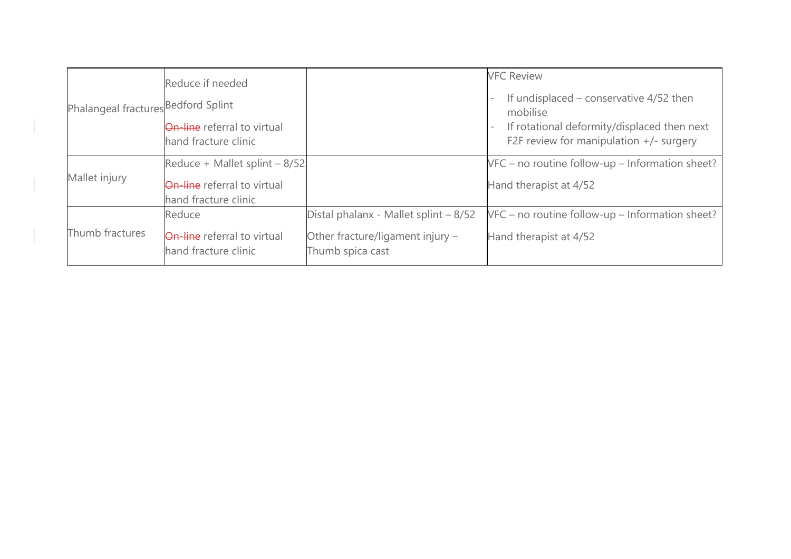| Phalangeal fractures Bedford Splint | Reduce if needed<br><b>On-line</b> referral to virtual<br>hand fracture clinic              |                                                                                               | <b>VFC Review</b><br>If undisplaced $-$ conservative 4/52 then<br>mobilise<br>If rotational deformity/displaced then next<br>F2F review for manipulation $+/-$ surgery |
|-------------------------------------|---------------------------------------------------------------------------------------------|-----------------------------------------------------------------------------------------------|------------------------------------------------------------------------------------------------------------------------------------------------------------------------|
| Mallet injury                       | Reduce + Mallet splint - 8/52<br><b>On-line</b> referral to virtual<br>hand fracture clinic |                                                                                               | VFC – no routine follow-up – Information sheet?<br>Hand therapist at 4/52                                                                                              |
| Thumb fractures                     | Reduce<br><b>On-line</b> referral to virtual<br>hand fracture clinic                        | Distal phalanx - Mallet splint - 8/52<br>Other fracture/ligament injury -<br>Thumb spica cast | $VFC$ – no routine follow-up – Information sheet?<br>Hand therapist at 4/52                                                                                            |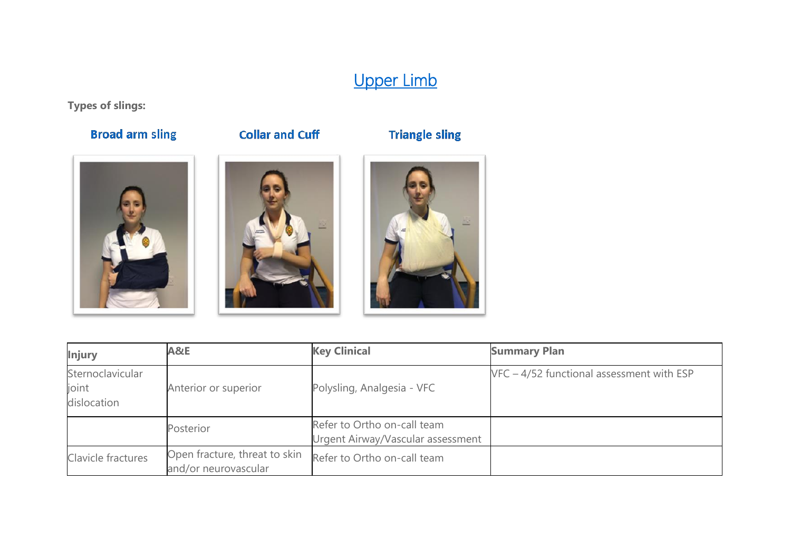# Upper Limb

**Types of slings:**

### **Broad arm sling**

#### **Collar and Cuff**









| <b>Injury</b>                            | A&E                                                   | <b>Key Clinical</b>                                              | <b>Summary Plan</b>                         |
|------------------------------------------|-------------------------------------------------------|------------------------------------------------------------------|---------------------------------------------|
| Sternoclavicular<br>joint<br>dislocation | Anterior or superior                                  | Polysling, Analgesia - VFC                                       | $VFC - 4/52$ functional assessment with ESP |
|                                          | Posterior                                             | Refer to Ortho on-call team<br>Urgent Airway/Vascular assessment |                                             |
| Clavicle fractures                       | Open fracture, threat to skin<br>and/or neurovascular | Refer to Ortho on-call team                                      |                                             |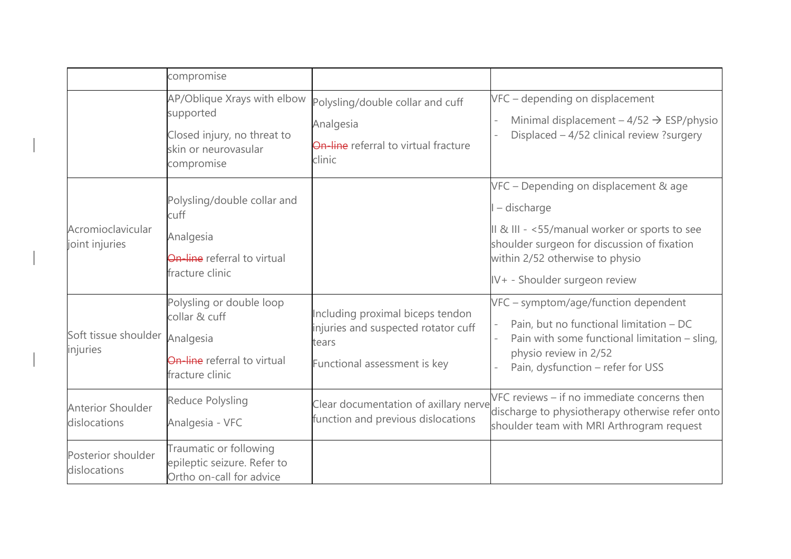|                                            | compromise                                                                                                    |                                                                                                                  |                                                                                                                                                                                                                          |
|--------------------------------------------|---------------------------------------------------------------------------------------------------------------|------------------------------------------------------------------------------------------------------------------|--------------------------------------------------------------------------------------------------------------------------------------------------------------------------------------------------------------------------|
|                                            | AP/Oblique Xrays with elbow<br>supported<br>Closed injury, no threat to<br>skin or neurovasular<br>compromise | Polysling/double collar and cuff<br>Analgesia<br>On-line referral to virtual fracture<br>clinic                  | VFC - depending on displacement<br>Minimal displacement $-4/52 \rightarrow ESP/physio$<br>Displaced - 4/52 clinical review ?surgery                                                                                      |
| Acromioclavicular<br>joint injuries        | Polysling/double collar and<br>cuff<br>Analgesia<br><b>On-line</b> referral to virtual<br>fracture clinic     |                                                                                                                  | VFC - Depending on displacement & age<br>- discharge<br>II & III - <55/manual worker or sports to see<br>shoulder surgeon for discussion of fixation<br>within 2/52 otherwise to physio<br>IV+ - Shoulder surgeon review |
| Soft tissue shoulder Analgesia<br>injuries | Polysling or double loop<br>collar & cuff<br>On-line referral to virtual<br>fracture clinic                   | Including proximal biceps tendon<br>injuries and suspected rotator cuff<br>tears<br>Functional assessment is key | VFC - symptom/age/function dependent<br>Pain, but no functional limitation - DC<br>Pain with some functional limitation - sling,<br>physio review in 2/52<br>Pain, dysfunction - refer for USS                           |
| <b>Anterior Shoulder</b><br>dislocations   | Reduce Polysling<br>Analgesia - VFC                                                                           | Clear documentation of axillary nerve<br>function and previous dislocations                                      | VFC reviews - if no immediate concerns then<br>discharge to physiotherapy otherwise refer onto<br>shoulder team with MRI Arthrogram request                                                                              |
| Posterior shoulder<br>dislocations         | Traumatic or following<br>epileptic seizure. Refer to<br>Ortho on-call for advice                             |                                                                                                                  |                                                                                                                                                                                                                          |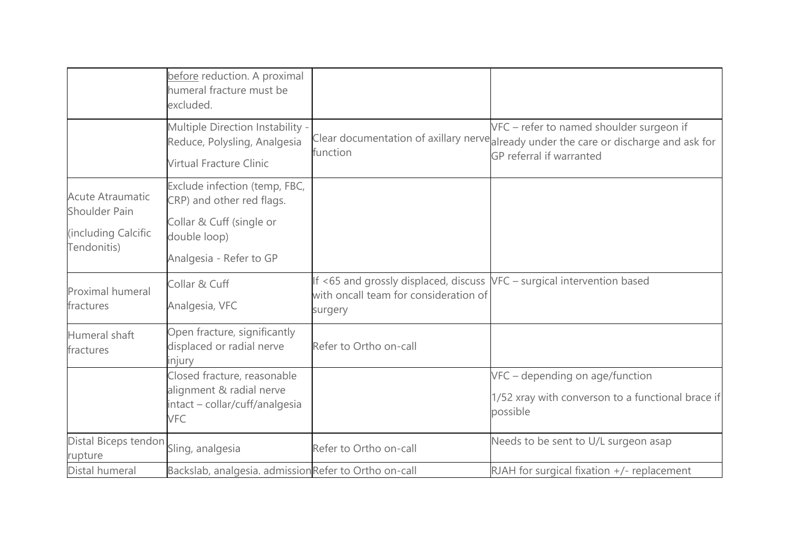|                                                                                       | before reduction. A proximal<br>humeral fracture must be<br>excluded.                                                             |                                                                                                                             |                                                                                                                                                              |
|---------------------------------------------------------------------------------------|-----------------------------------------------------------------------------------------------------------------------------------|-----------------------------------------------------------------------------------------------------------------------------|--------------------------------------------------------------------------------------------------------------------------------------------------------------|
|                                                                                       | Multiple Direction Instability -<br>Reduce, Polysling, Analgesia<br><b>Virtual Fracture Clinic</b>                                | function                                                                                                                    | VFC - refer to named shoulder surgeon if<br>Clear documentation of axillary nervealready under the care or discharge and ask for<br>GP referral if warranted |
| <b>Acute Atraumatic</b><br><b>Shoulder Pain</b><br>(including Calcific<br>Tendonitis) | Exclude infection (temp, FBC,<br>CRP) and other red flags.<br>Collar & Cuff (single or<br>double loop)<br>Analgesia - Refer to GP |                                                                                                                             |                                                                                                                                                              |
| Proximal humeral<br>fractures                                                         | Collar & Cuff<br>Analgesia, VFC                                                                                                   | If <65 and grossly displaced, discuss VFC - surgical intervention based<br>with oncall team for consideration of<br>surgery |                                                                                                                                                              |
| Humeral shaft<br>fractures                                                            | Open fracture, significantly<br>displaced or radial nerve<br>injury                                                               | Refer to Ortho on-call                                                                                                      |                                                                                                                                                              |
|                                                                                       | Closed fracture, reasonable<br>alignment & radial nerve<br>intact - collar/cuff/analgesia<br><b>VFC</b>                           |                                                                                                                             | VFC - depending on age/function<br>1/52 xray with converson to a functional brace if<br>possible                                                             |
| Distal Biceps tendon<br>rupture                                                       | Sling, analgesia                                                                                                                  | Refer to Ortho on-call                                                                                                      | Needs to be sent to U/L surgeon asap                                                                                                                         |
| Distal humeral                                                                        | Backslab, analgesia. admissionRefer to Ortho on-call                                                                              |                                                                                                                             | RJAH for surgical fixation $+/-$ replacement                                                                                                                 |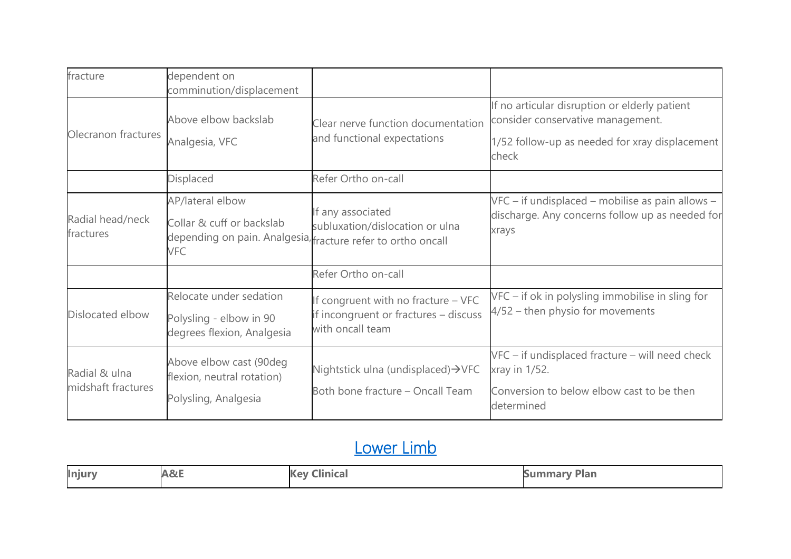| fracture                            | dependent on                                                                                                                |                                                                                                  |                                                                                                                                               |
|-------------------------------------|-----------------------------------------------------------------------------------------------------------------------------|--------------------------------------------------------------------------------------------------|-----------------------------------------------------------------------------------------------------------------------------------------------|
|                                     | comminution/displacement                                                                                                    |                                                                                                  |                                                                                                                                               |
| Olecranon fractures                 | Above elbow backslab<br>Analgesia, VFC                                                                                      | Clear nerve function documentation<br>and functional expectations                                | If no articular disruption or elderly patient<br>consider conservative management.<br>1/52 follow-up as needed for xray displacement<br>check |
|                                     | Displaced                                                                                                                   | Refer Ortho on-call                                                                              |                                                                                                                                               |
| Radial head/neck<br>fractures       | AP/lateral elbow<br>Collar & cuff or backslab<br>depending on pain. Analgesia, fracture refer to ortho oncall<br><b>VFC</b> | If any associated<br>subluxation/dislocation or ulna                                             | VFC – if undisplaced – mobilise as pain allows –<br>discharge. Any concerns follow up as needed for<br>xrays                                  |
|                                     |                                                                                                                             | Refer Ortho on-call                                                                              |                                                                                                                                               |
| Dislocated elbow                    | Relocate under sedation<br>Polysling - elbow in 90<br>degrees flexion, Analgesia                                            | If congruent with no fracture - VFC<br>if incongruent or fractures - discuss<br>with oncall team | VFC - if ok in polysling immobilise in sling for<br>4/52 - then physio for movements                                                          |
| Radial & ulna<br>midshaft fractures | Above elbow cast (90deg<br>flexion, neutral rotation)<br>Polysling, Analgesia                                               | Nightstick ulna (undisplaced)→VFC<br>Both bone fracture - Oncall Team                            | VFC - if undisplaced fracture - will need check<br>xray in 1/52.<br>Conversion to below elbow cast to be then<br>determined                   |

### Lower Limb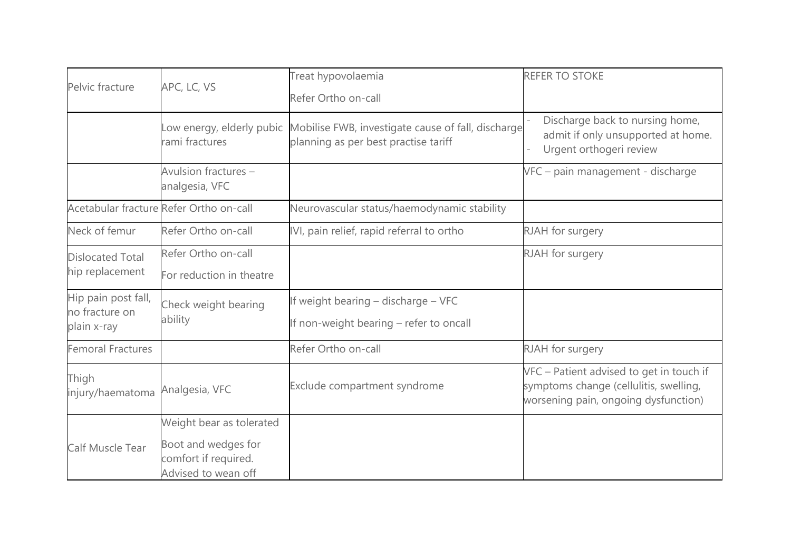| Pelvic fracture               | APC, LC, VS                                                        | Treat hypovolaemia                                                                                                   | <b>REFER TO STOKE</b>                                                                                                      |
|-------------------------------|--------------------------------------------------------------------|----------------------------------------------------------------------------------------------------------------------|----------------------------------------------------------------------------------------------------------------------------|
|                               |                                                                    | Refer Ortho on-call                                                                                                  |                                                                                                                            |
|                               | rami fractures                                                     | Low energy, elderly pubic Mobilise FWB, investigate cause of fall, discharge<br>planning as per best practise tariff | Discharge back to nursing home,<br>admit if only unsupported at home.<br>Urgent orthogeri review                           |
|                               | Avulsion fractures -<br>analgesia, VFC                             |                                                                                                                      | VFC - pain management - discharge                                                                                          |
|                               | Acetabular fracture Refer Ortho on-call                            | Neurovascular status/haemodynamic stability                                                                          |                                                                                                                            |
| Neck of femur                 | Refer Ortho on-call                                                | IVI, pain relief, rapid referral to ortho                                                                            | RJAH for surgery                                                                                                           |
| <b>Dislocated Total</b>       | Refer Ortho on-call                                                |                                                                                                                      | RJAH for surgery                                                                                                           |
| hip replacement               | For reduction in theatre                                           |                                                                                                                      |                                                                                                                            |
| Hip pain post fall,           | Check weight bearing                                               | If weight bearing - discharge - VFC                                                                                  |                                                                                                                            |
| no fracture on<br>plain x-ray | ability                                                            | If non-weight bearing - refer to oncall                                                                              |                                                                                                                            |
| <b>Femoral Fractures</b>      |                                                                    | Refer Ortho on-call                                                                                                  | RJAH for surgery                                                                                                           |
| Thigh<br>injury/haematoma     | Analgesia, VFC                                                     | Exclude compartment syndrome                                                                                         | VFC - Patient advised to get in touch if<br>symptoms change (cellulitis, swelling,<br>worsening pain, ongoing dysfunction) |
|                               | Weight bear as tolerated                                           |                                                                                                                      |                                                                                                                            |
| Calf Muscle Tear              | Boot and wedges for<br>comfort if required.<br>Advised to wean off |                                                                                                                      |                                                                                                                            |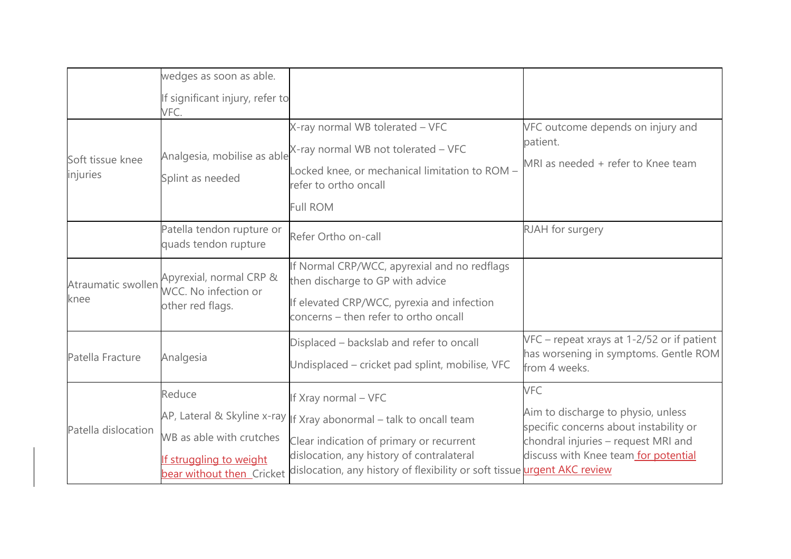|                              | wedges as soon as able.                                                                    |                                                                                                                                                                                                                                                                    |                                                                                                                                                                           |
|------------------------------|--------------------------------------------------------------------------------------------|--------------------------------------------------------------------------------------------------------------------------------------------------------------------------------------------------------------------------------------------------------------------|---------------------------------------------------------------------------------------------------------------------------------------------------------------------------|
|                              | If significant injury, refer to<br>VFC.                                                    |                                                                                                                                                                                                                                                                    |                                                                                                                                                                           |
| Soft tissue knee<br>injuries | Analgesia, mobilise as able<br>Splint as needed                                            | X-ray normal WB tolerated - VFC<br>X-ray normal WB not tolerated - VFC<br>Locked knee, or mechanical limitation to ROM -<br>refer to ortho oncall<br><b>Full ROM</b>                                                                                               | VFC outcome depends on injury and<br>patient.<br>MRI as needed + refer to Knee team                                                                                       |
|                              | Patella tendon rupture or<br>quads tendon rupture                                          | Refer Ortho on-call                                                                                                                                                                                                                                                | RJAH for surgery                                                                                                                                                          |
| Atraumatic swollen<br>knee   | Apyrexial, normal CRP &<br>WCC. No infection or<br>other red flags.                        | If Normal CRP/WCC, apyrexial and no redflags<br>then discharge to GP with advice<br>If elevated CRP/WCC, pyrexia and infection<br>concerns - then refer to ortho oncall                                                                                            |                                                                                                                                                                           |
| Patella Fracture             | Analgesia                                                                                  | Displaced - backslab and refer to oncall<br>Undisplaced – cricket pad splint, mobilise, VFC                                                                                                                                                                        | VFC - repeat xrays at 1-2/52 or if patient<br>has worsening in symptoms. Gentle ROM<br>from 4 weeks.                                                                      |
| Patella dislocation          | Reduce<br>WB as able with crutches<br>If struggling to weight<br>bear without then Cricket | If Xray normal - VFC<br>AP, Lateral & Skyline x-ray   If Xray abonormal - talk to oncall team<br>Clear indication of primary or recurrent<br>dislocation, any history of contralateral<br>dislocation, any history of flexibility or soft tissue urgent AKC review | <b>VFC</b><br>Aim to discharge to physio, unless<br>specific concerns about instability or<br>chondral injuries - request MRI and<br>discuss with Knee team for potential |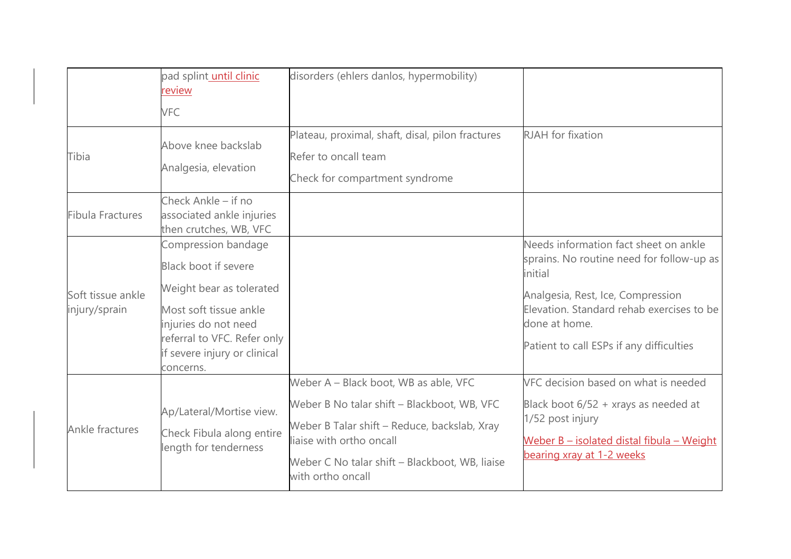|                                    | pad splint until clinic<br>review<br><b>VFC</b>                                                                                                                                                       | disorders (ehlers danlos, hypermobility)                                                                                                                                                                                                |                                                                                                                                                                                                                                              |
|------------------------------------|-------------------------------------------------------------------------------------------------------------------------------------------------------------------------------------------------------|-----------------------------------------------------------------------------------------------------------------------------------------------------------------------------------------------------------------------------------------|----------------------------------------------------------------------------------------------------------------------------------------------------------------------------------------------------------------------------------------------|
| Tibia                              | Above knee backslab<br>Analgesia, elevation                                                                                                                                                           | Plateau, proximal, shaft, disal, pilon fractures<br>Refer to oncall team<br>Check for compartment syndrome                                                                                                                              | <b>RJAH</b> for fixation                                                                                                                                                                                                                     |
| Fibula Fractures                   | Check Ankle - if no<br>associated ankle injuries<br>then crutches, WB, VFC                                                                                                                            |                                                                                                                                                                                                                                         |                                                                                                                                                                                                                                              |
| Soft tissue ankle<br>injury/sprain | Compression bandage<br>Black boot if severe<br>Weight bear as tolerated<br>Most soft tissue ankle<br>injuries do not need<br>referral to VFC. Refer only<br>if severe injury or clinical<br>concerns. |                                                                                                                                                                                                                                         | Needs information fact sheet on ankle<br>sprains. No routine need for follow-up as<br>initial<br>Analgesia, Rest, Ice, Compression<br>Elevation. Standard rehab exercises to be<br>done at home.<br>Patient to call ESPs if any difficulties |
| Ankle fractures                    | Ap/Lateral/Mortise view.<br>Check Fibula along entire<br>length for tenderness                                                                                                                        | Weber A - Black boot, WB as able, VFC<br>Weber B No talar shift - Blackboot, WB, VFC<br>Weber B Talar shift - Reduce, backslab, Xray<br>liaise with ortho oncall<br>Weber C No talar shift - Blackboot, WB, liaise<br>with ortho oncall | VFC decision based on what is needed<br>Black boot $6/52$ + xrays as needed at<br>1/52 post injury<br>Weber B - isolated distal fibula - Weight<br>bearing xray at 1-2 weeks                                                                 |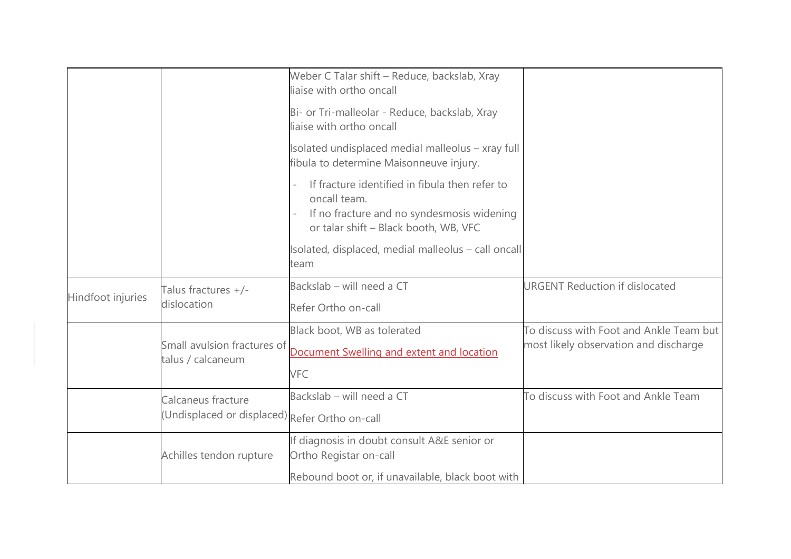|                   |                                                                      | Weber C Talar shift - Reduce, backslab, Xray<br>liaise with ortho oncall                                                                              |                                                                                  |
|-------------------|----------------------------------------------------------------------|-------------------------------------------------------------------------------------------------------------------------------------------------------|----------------------------------------------------------------------------------|
|                   |                                                                      | Bi- or Tri-malleolar - Reduce, backslab, Xray<br>liaise with ortho oncall                                                                             |                                                                                  |
|                   |                                                                      | Isolated undisplaced medial malleolus - xray full<br>fibula to determine Maisonneuve injury.                                                          |                                                                                  |
|                   |                                                                      | If fracture identified in fibula then refer to<br>oncall team.<br>If no fracture and no syndesmosis widening<br>or talar shift - Black booth, WB, VFC |                                                                                  |
|                   |                                                                      | Isolated, displaced, medial malleolus - call oncall<br>team                                                                                           |                                                                                  |
| Hindfoot injuries | Talus fractures +/-<br>dislocation                                   | Backslab - will need a CT<br>Refer Ortho on-call                                                                                                      | <b>URGENT Reduction if dislocated</b>                                            |
|                   | Small avulsion fractures of<br>talus / calcaneum                     | Black boot, WB as tolerated<br>Document Swelling and extent and location<br><b>VFC</b>                                                                | To discuss with Foot and Ankle Team but<br>most likely observation and discharge |
|                   | Calcaneus fracture<br>(Undisplaced or displaced) Refer Ortho on-call | Backslab - will need a CT                                                                                                                             | To discuss with Foot and Ankle Team                                              |
|                   | Achilles tendon rupture                                              | If diagnosis in doubt consult A&E senior or<br>Ortho Registar on-call                                                                                 |                                                                                  |
|                   |                                                                      | Rebound boot or, if unavailable, black boot with                                                                                                      |                                                                                  |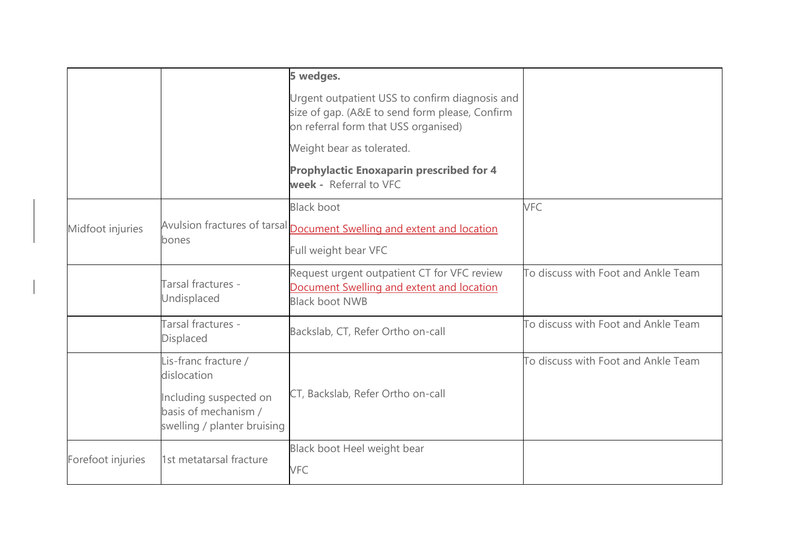|                   |                                                                               | 5 wedges.                                                                                                                                |                                     |
|-------------------|-------------------------------------------------------------------------------|------------------------------------------------------------------------------------------------------------------------------------------|-------------------------------------|
|                   |                                                                               | Urgent outpatient USS to confirm diagnosis and<br>size of gap. (A&E to send form please, Confirm<br>on referral form that USS organised) |                                     |
|                   |                                                                               | Weight bear as tolerated.                                                                                                                |                                     |
|                   |                                                                               | <b>Prophylactic Enoxaparin prescribed for 4</b><br>week - Referral to VFC                                                                |                                     |
| Midfoot injuries  | bones                                                                         | <b>Black boot</b><br>Avulsion fractures of tarsal <b>Document Swelling and extent and location</b><br>Full weight bear VFC               | <b>VFC</b>                          |
|                   | Tarsal fractures -<br>Undisplaced                                             | Request urgent outpatient CT for VFC review<br>Document Swelling and extent and location<br><b>Black boot NWB</b>                        | To discuss with Foot and Ankle Team |
|                   | Tarsal fractures -<br>Displaced                                               | Backslab, CT, Refer Ortho on-call                                                                                                        | To discuss with Foot and Ankle Team |
|                   | Lis-franc fracture /<br>dislocation                                           |                                                                                                                                          | To discuss with Foot and Ankle Team |
|                   | Including suspected on<br>basis of mechanism /<br>swelling / planter bruising | CT, Backslab, Refer Ortho on-call                                                                                                        |                                     |
| Forefoot injuries | 1st metatarsal fracture                                                       | Black boot Heel weight bear<br><b>VFC</b>                                                                                                |                                     |